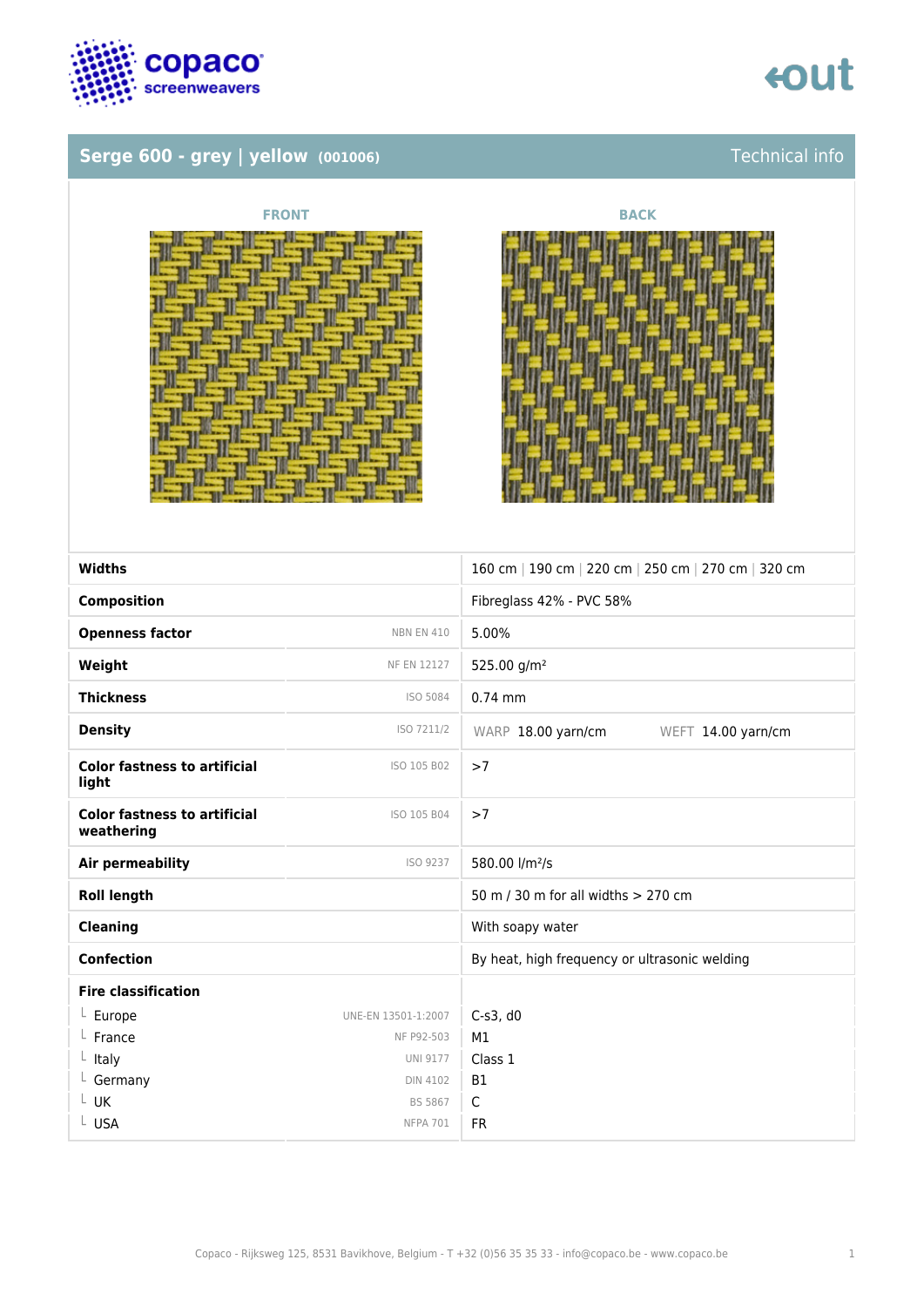

### **Serge 600 - grey | yellow (001006)** Technical info



|                          | NUN |  |
|--------------------------|-----|--|
| $-11$                    |     |  |
|                          | œ   |  |
| $\overline{\phantom{a}}$ |     |  |
|                          |     |  |



| <b>Widths</b>                                     |                     | 160 cm   190 cm   220 cm   250 cm   270 cm   320 cm |
|---------------------------------------------------|---------------------|-----------------------------------------------------|
|                                                   |                     |                                                     |
| <b>Composition</b>                                |                     | Fibreglass 42% - PVC 58%                            |
| <b>Openness factor</b>                            | <b>NBN EN 410</b>   | 5.00%                                               |
| Weight                                            | <b>NF EN 12127</b>  | 525.00 g/m <sup>2</sup>                             |
| <b>Thickness</b>                                  | ISO 5084            | $0.74$ mm                                           |
| <b>Density</b>                                    | ISO 7211/2          | WARP 18.00 yarn/cm<br>WEFT 14.00 yarn/cm            |
| <b>Color fastness to artificial</b><br>light      | ISO 105 B02         | >7                                                  |
| <b>Color fastness to artificial</b><br>weathering | ISO 105 B04         | >7                                                  |
| <b>Air permeability</b>                           | ISO 9237            | 580.00 l/m <sup>2</sup> /s                          |
| <b>Roll length</b>                                |                     | 50 m / 30 m for all widths > 270 cm                 |
| Cleaning                                          |                     | With soapy water                                    |
| <b>Confection</b>                                 |                     | By heat, high frequency or ultrasonic welding       |
| <b>Fire classification</b>                        |                     |                                                     |
| $L$ Europe                                        | UNE-EN 13501-1:2007 | $C-s3$ , d $0$                                      |
| France                                            | NF P92-503          | M1                                                  |
| $L$ Italy                                         | <b>UNI 9177</b>     | Class 1                                             |
| $L$ Germany                                       | <b>DIN 4102</b>     | <b>B1</b>                                           |
| L UK                                              | <b>BS 5867</b>      | $\mathsf{C}$                                        |
| L USA                                             | <b>NFPA 701</b>     | <b>FR</b>                                           |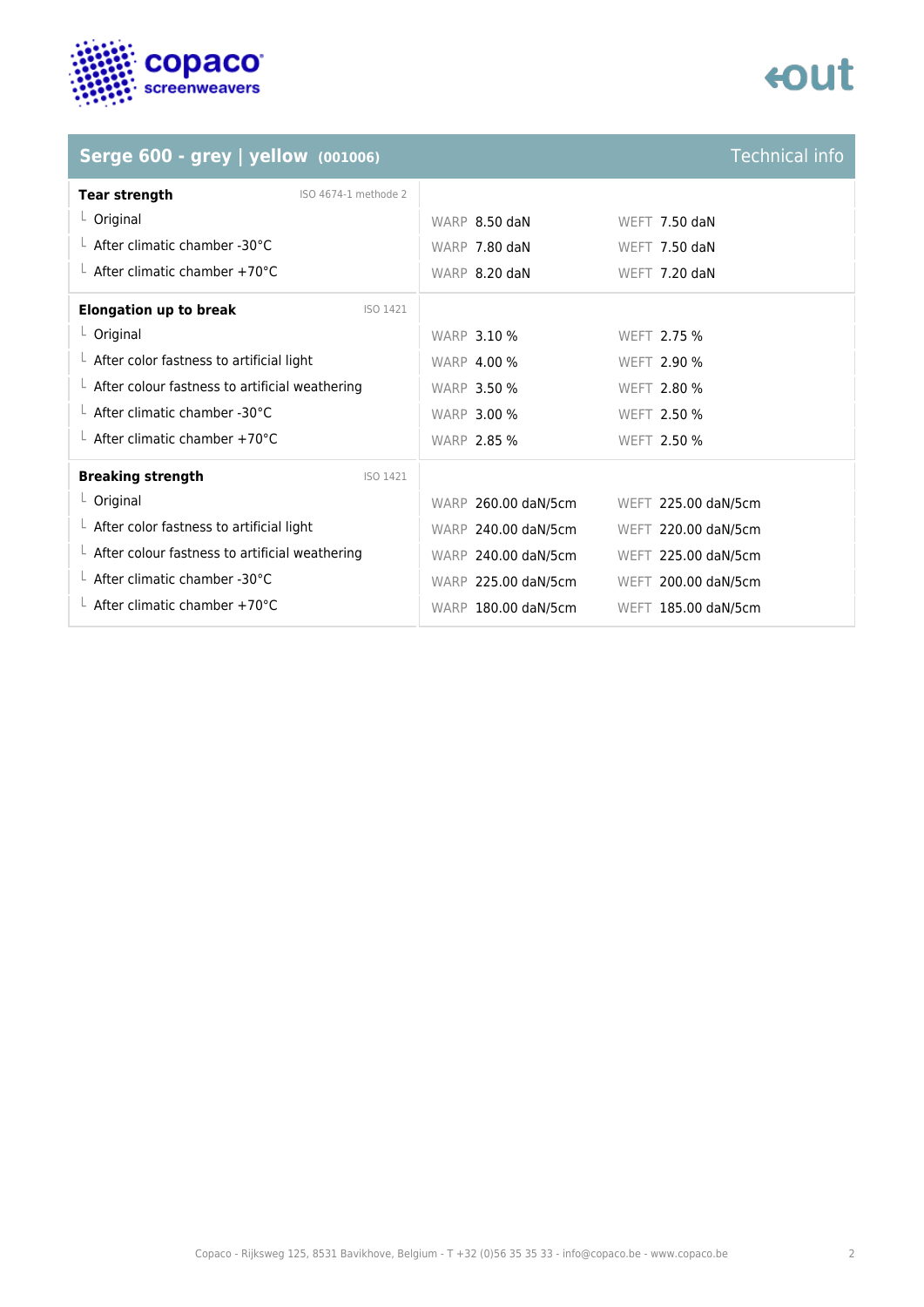

## **tout**

### **Serge 600 - grey | yellow**  $(001006)$

| <b>Technical info</b> |  |
|-----------------------|--|
|                       |  |

| <b>Tear strength</b><br>ISO 4674-1 methode 2           |                     |                     |
|--------------------------------------------------------|---------------------|---------------------|
| $L$ Original                                           | WARP 8.50 daN       | WEFT $7.50$ daN     |
| $\perp$ After climatic chamber -30°C                   | WARP 7.80 daN       | WEFT $7.50$ daN     |
| $\perp$ After climatic chamber +70°C                   | WARP 8.20 daN       | WEFT 7.20 daN       |
| <b>Elongation up to break</b><br>ISO 1421              |                     |                     |
| $L$ Original                                           | <b>WARP 3.10 %</b>  | WEFT 2.75 %         |
| $\perp$ After color fastness to artificial light       | <b>WARP 4.00 %</b>  | <b>WEFT 2.90 %</b>  |
| $\perp$ After colour fastness to artificial weathering | <b>WARP 3.50 %</b>  | <b>WEFT 2.80 %</b>  |
| $\perp$ After climatic chamber -30°C                   | <b>WARP 3.00 %</b>  | WEFT 2.50 %         |
| $\perp$ After climatic chamber +70°C                   | <b>WARP 2.85 %</b>  | WEFT 2.50 %         |
| <b>Breaking strength</b><br>ISO 1421                   |                     |                     |
| $L$ Original                                           | WARP 260.00 daN/5cm | WEFT 225.00 daN/5cm |
| $\perp$ After color fastness to artificial light       | WARP 240.00 daN/5cm | WEFT 220.00 daN/5cm |
| $\perp$ After colour fastness to artificial weathering | WARP 240.00 daN/5cm | WEFT 225.00 daN/5cm |
| L After climatic chamber -30°C                         | WARP 225.00 daN/5cm | WEFT 200.00 daN/5cm |
| $\perp$ After climatic chamber +70°C                   | WARP 180.00 daN/5cm | WEFT 185.00 daN/5cm |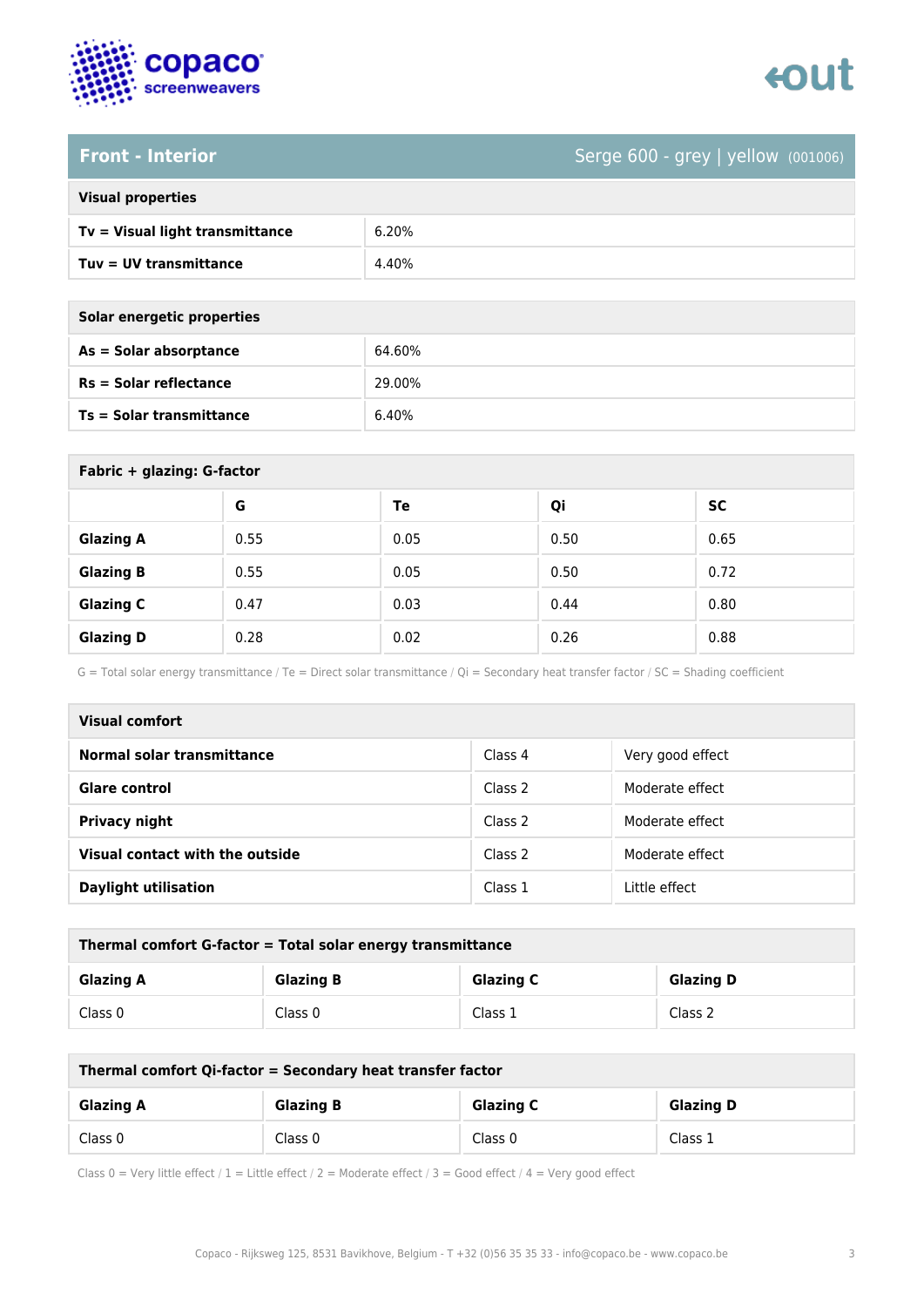



### **Front - Interior** Serge 600 - grey | yellow (001006)

| <b>Visual properties</b> |  |
|--------------------------|--|
|                          |  |

| Tv = Visual light transmittance | 6.20% |
|---------------------------------|-------|
| Tuy = UV transmittance          | 4.40% |

**As = Solar absorptance** 64.60%

**Rs = Solar reflectance** 29.00%

| Solar energetic properties |        |
|----------------------------|--------|
| $As = Solar absorption$    | 64.60% |
| Rs = Solar reflectance     | 29.00% |
| Ts = Solar transmittance   | 6.40%  |

| Fabric + glazing: G-factor |      |      |      |           |
|----------------------------|------|------|------|-----------|
|                            | G    | Te   | Qi   | <b>SC</b> |
| <b>Glazing A</b>           | 0.55 | 0.05 | 0.50 | 0.65      |
| <b>Glazing B</b>           | 0.55 | 0.05 | 0.50 | 0.72      |
| <b>Glazing C</b>           | 0.47 | 0.03 | 0.44 | 0.80      |
| <b>Glazing D</b>           | 0.28 | 0.02 | 0.26 | 0.88      |

G = Total solar energy transmittance / Te = Direct solar transmittance / Qi = Secondary heat transfer factor / SC = Shading coefficient

| <b>Visual comfort</b>             |         |                  |
|-----------------------------------|---------|------------------|
| <b>Normal solar transmittance</b> | Class 4 | Very good effect |
| Glare control                     | Class 2 | Moderate effect  |
| <b>Privacy night</b>              | Class 2 | Moderate effect  |
| Visual contact with the outside   | Class 2 | Moderate effect  |
| <b>Daylight utilisation</b>       | Class 1 | Little effect    |

| Thermal comfort G-factor = Total solar energy transmittance |                  |                  |                  |
|-------------------------------------------------------------|------------------|------------------|------------------|
| <b>Glazing A</b>                                            | <b>Glazing B</b> | <b>Glazing C</b> | <b>Glazing D</b> |
| Class 0                                                     | Class 0          | Class 1          | Class 2          |

| Thermal comfort Qi-factor = Secondary heat transfer factor |                  |                  |                  |
|------------------------------------------------------------|------------------|------------------|------------------|
| <b>Glazing A</b>                                           | <b>Glazing B</b> | <b>Glazing C</b> | <b>Glazing D</b> |
| Class 0                                                    | Class 0          | Class 0          | Class 1          |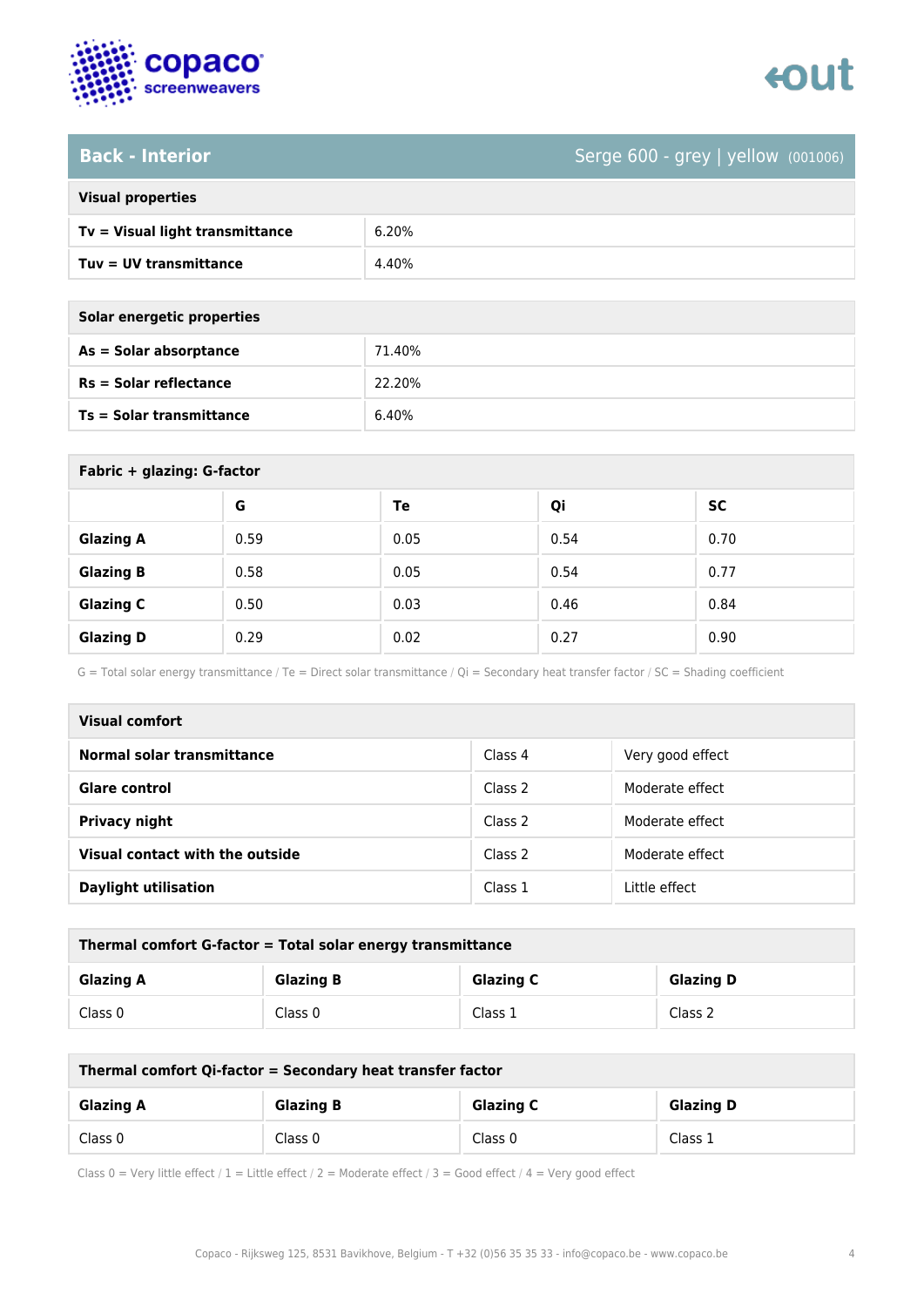

### **Back - Interior** Serge 600 - grey | yellow (001006)

| <b>Visual properties</b> |  |
|--------------------------|--|
|                          |  |

| Tv = Visual light transmittance | 6.20% |
|---------------------------------|-------|
| Tuy = UV transmittance          | 4.40% |

**As = Solar absorptance** 71.40%

**Rs = Solar reflectance** 22.20%

| Solar energetic properties    |  |
|-------------------------------|--|
| As = Solar absorptance        |  |
| <b>Rs = Solar reflectance</b> |  |

**Ts = Solar transmittance** 6.40%

| Fabric + glazing: G-factor |      |      |      |           |  |
|----------------------------|------|------|------|-----------|--|
|                            | G    | Te   | Qi   | <b>SC</b> |  |
| <b>Glazing A</b>           | 0.59 | 0.05 | 0.54 | 0.70      |  |
| <b>Glazing B</b>           | 0.58 | 0.05 | 0.54 | 0.77      |  |
| <b>Glazing C</b>           | 0.50 | 0.03 | 0.46 | 0.84      |  |
| <b>Glazing D</b>           | 0.29 | 0.02 | 0.27 | 0.90      |  |

G = Total solar energy transmittance / Te = Direct solar transmittance / Qi = Secondary heat transfer factor / SC = Shading coefficient

| <b>Visual comfort</b>             |         |                  |  |  |
|-----------------------------------|---------|------------------|--|--|
| <b>Normal solar transmittance</b> | Class 4 | Very good effect |  |  |
| Glare control                     | Class 2 | Moderate effect  |  |  |
| <b>Privacy night</b>              | Class 2 | Moderate effect  |  |  |
| Visual contact with the outside   | Class 2 | Moderate effect  |  |  |
| <b>Daylight utilisation</b>       | Class 1 | Little effect    |  |  |

| Thermal comfort G-factor = Total solar energy transmittance                  |         |         |         |  |  |
|------------------------------------------------------------------------------|---------|---------|---------|--|--|
| <b>Glazing C</b><br><b>Glazing B</b><br><b>Glazing D</b><br><b>Glazing A</b> |         |         |         |  |  |
| Class 0                                                                      | Class 0 | Class 1 | Class 2 |  |  |

| Thermal comfort Qi-factor = Secondary heat transfer factor                   |         |         |         |  |  |
|------------------------------------------------------------------------------|---------|---------|---------|--|--|
| <b>Glazing B</b><br><b>Glazing C</b><br><b>Glazing D</b><br><b>Glazing A</b> |         |         |         |  |  |
| Class 0                                                                      | Class 0 | Class 0 | Class 1 |  |  |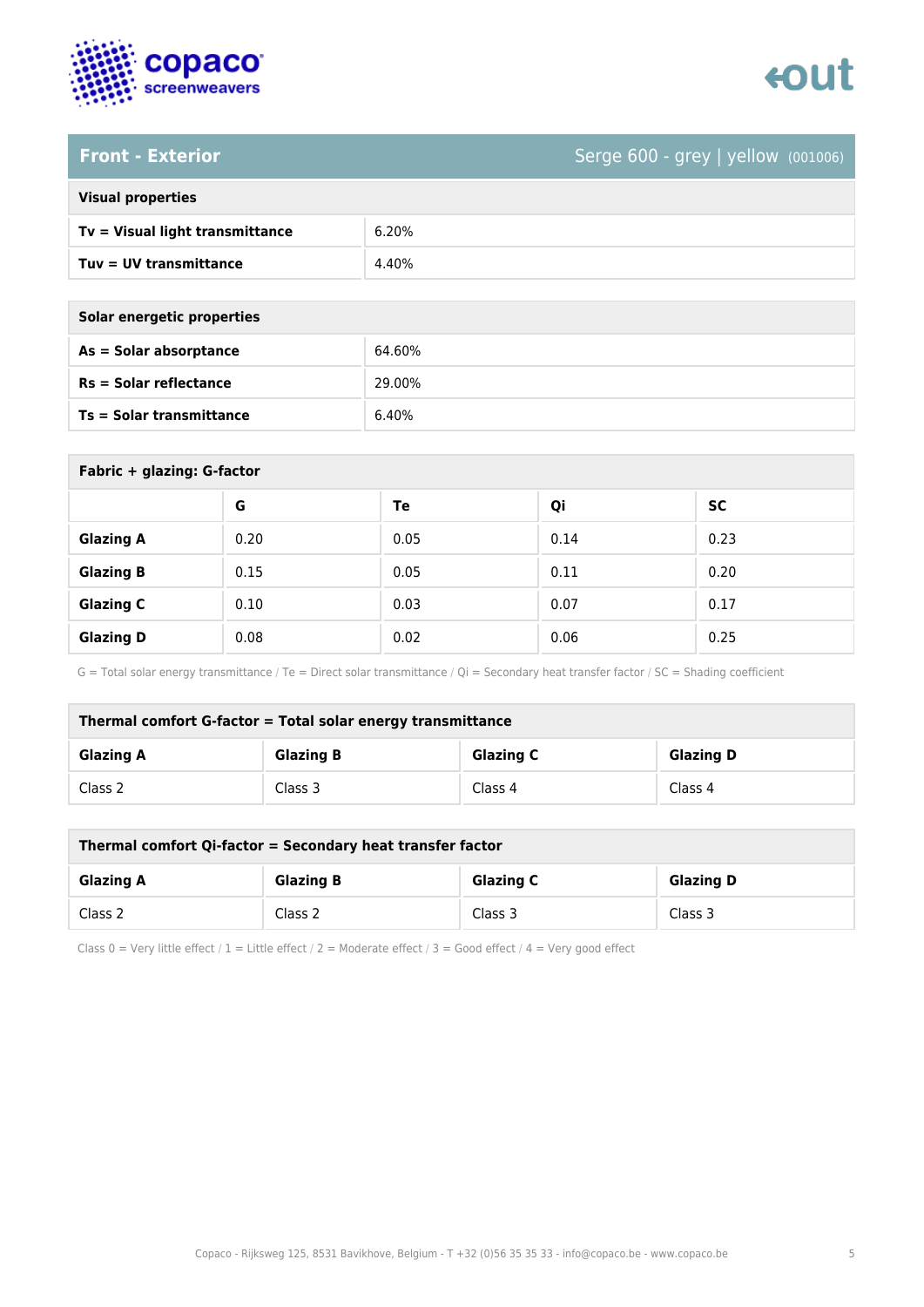

# enut

### **Front - Exterior** Serge 600 - grey | yellow (001006)

| <b>Visual properties</b> |  |  |
|--------------------------|--|--|
|                          |  |  |

| Tv = Visual light transmittance | 6.20% |
|---------------------------------|-------|
| Tuv = UV transmittance          | 4.40% |

**As = Solar absorptance** 64.60%

**Rs = Solar reflectance** 29.00%

**Ts = Solar transmittance** 6.40%

| Solar energetic properties      |
|---------------------------------|
| As = Solar absorptance          |
| $Rs = Solar$ reflectance        |
| <b>Ts = Solar transmittance</b> |

| Fabric + glazing: G-factor |      |      |      |           |  |
|----------------------------|------|------|------|-----------|--|
|                            | G    | Te   | Qi   | <b>SC</b> |  |
| <b>Glazing A</b>           | 0.20 | 0.05 | 0.14 | 0.23      |  |
| <b>Glazing B</b>           | 0.15 | 0.05 | 0.11 | 0.20      |  |
| <b>Glazing C</b>           | 0.10 | 0.03 | 0.07 | 0.17      |  |
| <b>Glazing D</b>           | 0.08 | 0.02 | 0.06 | 0.25      |  |

G = Total solar energy transmittance / Te = Direct solar transmittance / Qi = Secondary heat transfer factor / SC = Shading coefficient

| Thermal comfort G-factor = Total solar energy transmittance                  |         |         |         |  |  |
|------------------------------------------------------------------------------|---------|---------|---------|--|--|
| <b>Glazing C</b><br><b>Glazing B</b><br><b>Glazing D</b><br><b>Glazing A</b> |         |         |         |  |  |
| Class 2                                                                      | Class 3 | Class 4 | Class 4 |  |  |

| Thermal comfort Qi-factor = Secondary heat transfer factor                   |         |         |         |  |  |
|------------------------------------------------------------------------------|---------|---------|---------|--|--|
| <b>Glazing B</b><br><b>Glazing C</b><br><b>Glazing D</b><br><b>Glazing A</b> |         |         |         |  |  |
| Class 2                                                                      | Class 2 | Class 3 | Class 3 |  |  |